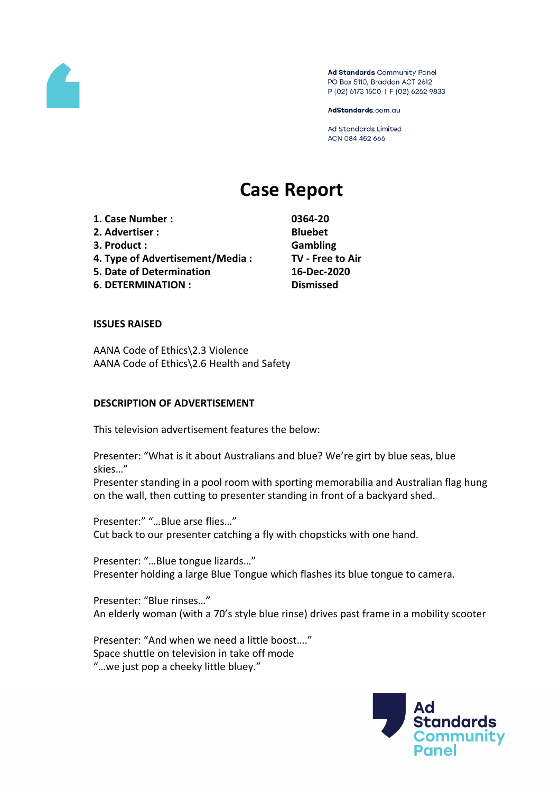

Ad Standards Community Panel PO Box 5110, Braddon ACT 2612 P (02) 6173 1500 | F (02) 6262 9833

AdStandards.com.au

Ad Standards Limited ACN 084 452 666

# **Case Report**

**1. Case Number : 0364-20 2. Advertiser : Bluebet 3. Product : Gambling 4. Type of Advertisement/Media : TV - Free to Air 5. Date of Determination 16-Dec-2020 6. DETERMINATION : Dismissed**

#### **ISSUES RAISED**

AANA Code of Ethics\2.3 Violence AANA Code of Ethics\2.6 Health and Safety

#### **DESCRIPTION OF ADVERTISEMENT**

This television advertisement features the below:

Presenter: "What is it about Australians and blue? We're girt by blue seas, blue skies…"

Presenter standing in a pool room with sporting memorabilia and Australian flag hung on the wall, then cutting to presenter standing in front of a backyard shed.

Presenter:" "…Blue arse flies…" Cut back to our presenter catching a fly with chopsticks with one hand.

Presenter: "…Blue tongue lizards…" Presenter holding a large Blue Tongue which flashes its blue tongue to camera.

Presenter: "Blue rinses…" An elderly woman (with a 70's style blue rinse) drives past frame in a mobility scooter

Presenter: "And when we need a little boost…." Space shuttle on television in take off mode "…we just pop a cheeky little bluey."

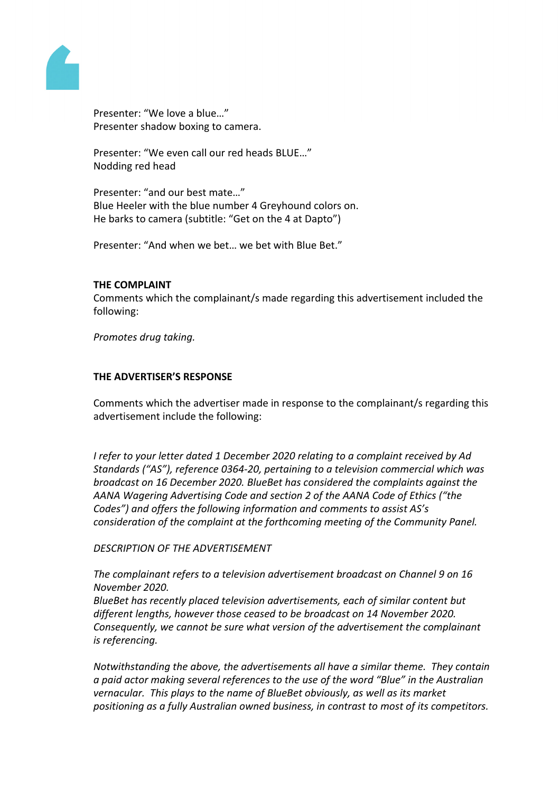

Presenter: "We love a blue…" Presenter shadow boxing to camera.

Presenter: "We even call our red heads BLUE…" Nodding red head

Presenter: "and our best mate…" Blue Heeler with the blue number 4 Greyhound colors on. He barks to camera (subtitle: "Get on the 4 at Dapto")

Presenter: "And when we bet… we bet with Blue Bet."

#### **THE COMPLAINT**

Comments which the complainant/s made regarding this advertisement included the following:

*Promotes drug taking.*

# **THE ADVERTISER'S RESPONSE**

Comments which the advertiser made in response to the complainant/s regarding this advertisement include the following:

*I refer to your letter dated 1 December 2020 relating to a complaint received by Ad Standards ("AS"), reference 0364-20, pertaining to a television commercial which was broadcast on 16 December 2020. BlueBet has considered the complaints against the AANA Wagering Advertising Code and section 2 of the AANA Code of Ethics ("the Codes") and offers the following information and comments to assist AS's consideration of the complaint at the forthcoming meeting of the Community Panel.*

*DESCRIPTION OF THE ADVERTISEMENT*

*The complainant refers to a television advertisement broadcast on Channel 9 on 16 November 2020.*

*BlueBet has recently placed television advertisements, each of similar content but different lengths, however those ceased to be broadcast on 14 November 2020. Consequently, we cannot be sure what version of the advertisement the complainant is referencing.*

*Notwithstanding the above, the advertisements all have a similar theme. They contain a paid actor making several references to the use of the word "Blue" in the Australian vernacular. This plays to the name of BlueBet obviously, as well as its market positioning as a fully Australian owned business, in contrast to most of its competitors.*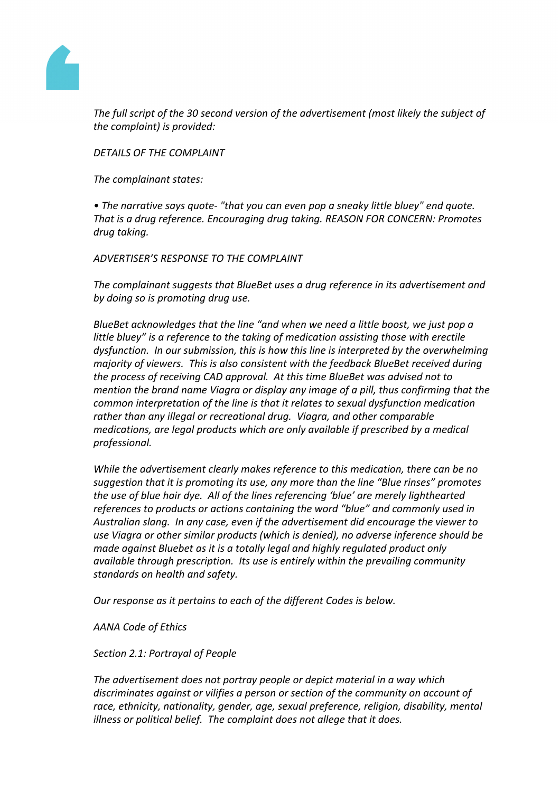

*The full script of the 30 second version of the advertisement (most likely the subject of the complaint) is provided:*

*DETAILS OF THE COMPLAINT*

*The complainant states:*

*• The narrative says quote- "that you can even pop a sneaky little bluey" end quote. That is a drug reference. Encouraging drug taking. REASON FOR CONCERN: Promotes drug taking.*

*ADVERTISER'S RESPONSE TO THE COMPLAINT*

*The complainant suggests that BlueBet uses a drug reference in its advertisement and by doing so is promoting drug use.* 

*BlueBet acknowledges that the line "and when we need a little boost, we just pop a little bluey" is a reference to the taking of medication assisting those with erectile dysfunction. In our submission, this is how this line is interpreted by the overwhelming majority of viewers. This is also consistent with the feedback BlueBet received during the process of receiving CAD approval. At this time BlueBet was advised not to mention the brand name Viagra or display any image of a pill, thus confirming that the common interpretation of the line is that it relates to sexual dysfunction medication rather than any illegal or recreational drug. Viagra, and other comparable medications, are legal products which are only available if prescribed by a medical professional.*

*While the advertisement clearly makes reference to this medication, there can be no suggestion that it is promoting its use, any more than the line "Blue rinses" promotes the use of blue hair dye. All of the lines referencing 'blue' are merely lighthearted references to products or actions containing the word "blue" and commonly used in Australian slang. In any case, even if the advertisement did encourage the viewer to use Viagra or other similar products (which is denied), no adverse inference should be made against Bluebet as it is a totally legal and highly regulated product only available through prescription. Its use is entirely within the prevailing community standards on health and safety.*

*Our response as it pertains to each of the different Codes is below.*

*AANA Code of Ethics*

*Section 2.1: Portrayal of People* 

*The advertisement does not portray people or depict material in a way which discriminates against or vilifies a person or section of the community on account of race, ethnicity, nationality, gender, age, sexual preference, religion, disability, mental illness or political belief. The complaint does not allege that it does.*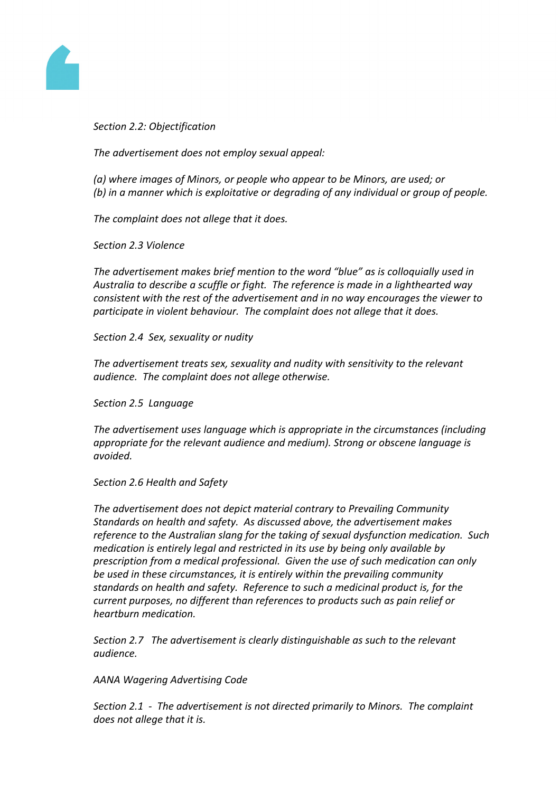

*Section 2.2: Objectification*

*The advertisement does not employ sexual appeal:*

*(a) where images of Minors, or people who appear to be Minors, are used; or (b) in a manner which is exploitative or degrading of any individual or group of people.*

*The complaint does not allege that it does.*

*Section 2.3 Violence*

*The advertisement makes brief mention to the word "blue" as is colloquially used in Australia to describe a scuffle or fight. The reference is made in a lighthearted way consistent with the rest of the advertisement and in no way encourages the viewer to participate in violent behaviour. The complaint does not allege that it does.*

*Section 2.4 Sex, sexuality or nudity*

*The advertisement treats sex, sexuality and nudity with sensitivity to the relevant audience. The complaint does not allege otherwise.*

*Section 2.5 Language*

*The advertisement uses language which is appropriate in the circumstances (including appropriate for the relevant audience and medium). Strong or obscene language is avoided.*

*Section 2.6 Health and Safety*

*The advertisement does not depict material contrary to Prevailing Community Standards on health and safety. As discussed above, the advertisement makes reference to the Australian slang for the taking of sexual dysfunction medication. Such medication is entirely legal and restricted in its use by being only available by prescription from a medical professional. Given the use of such medication can only be used in these circumstances, it is entirely within the prevailing community standards on health and safety. Reference to such a medicinal product is, for the current purposes, no different than references to products such as pain relief or heartburn medication.*

*Section 2.7 The advertisement is clearly distinguishable as such to the relevant audience.*

*AANA Wagering Advertising Code*

*Section 2.1 - The advertisement is not directed primarily to Minors. The complaint does not allege that it is.*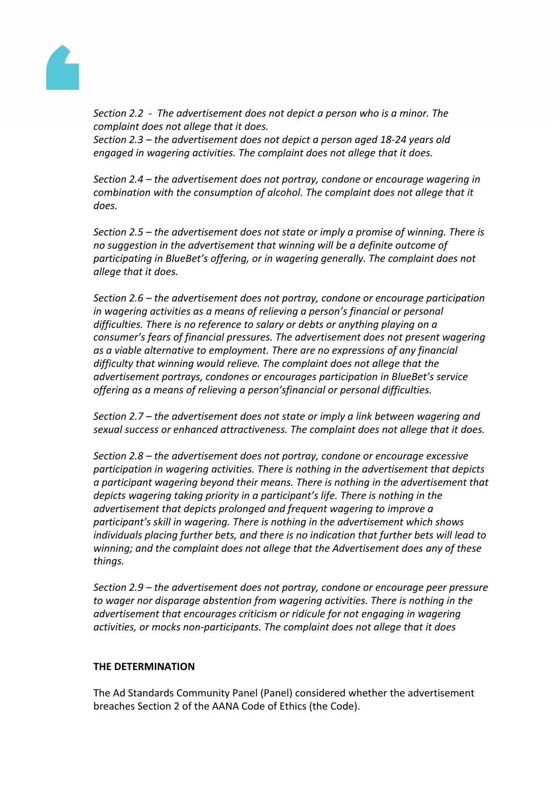

*Section 2.2 - The advertisement does not depict a person who is a minor. The complaint does not allege that it does. Section 2.3 – the advertisement does not depict a person aged 18-24 years old engaged in wagering activities. The complaint does not allege that it does.* 

*Section 2.4 – the advertisement does not portray, condone or encourage wagering in combination with the consumption of alcohol. The complaint does not allege that it does.* 

*Section 2.5 – the advertisement does not state or imply a promise of winning. There is no suggestion in the advertisement that winning will be a definite outcome of participating in BlueBet's offering, or in wagering generally. The complaint does not allege that it does.*

*Section 2.6 – the advertisement does not portray, condone or encourage participation in wagering activities as a means of relieving a person's financial or personal difficulties. There is no reference to salary or debts or anything playing on a consumer's fears of financial pressures. The advertisement does not present wagering as a viable alternative to employment. There are no expressions of any financial difficulty that winning would relieve. The complaint does not allege that the advertisement portrays, condones or encourages participation in BlueBet's service offering as a means of relieving a person'sfinancial or personal difficulties.* 

*Section 2.7 – the advertisement does not state or imply a link between wagering and sexual success or enhanced attractiveness. The complaint does not allege that it does.*

*Section 2.8 – the advertisement does not portray, condone or encourage excessive participation in wagering activities. There is nothing in the advertisement that depicts a participant wagering beyond their means. There is nothing in the advertisement that depicts wagering taking priority in a participant's life. There is nothing in the advertisement that depicts prolonged and frequent wagering to improve a participant's skill in wagering. There is nothing in the advertisement which shows individuals placing further bets, and there is no indication that further bets will lead to winning; and the complaint does not allege that the Advertisement does any of these things.* 

*Section 2.9 – the advertisement does not portray, condone or encourage peer pressure to wager nor disparage abstention from wagering activities. There is nothing in the advertisement that encourages criticism or ridicule for not engaging in wagering activities, or mocks non-participants. The complaint does not allege that it does*

# **THE DETERMINATION**

The Ad Standards Community Panel (Panel) considered whether the advertisement breaches Section 2 of the AANA Code of Ethics (the Code).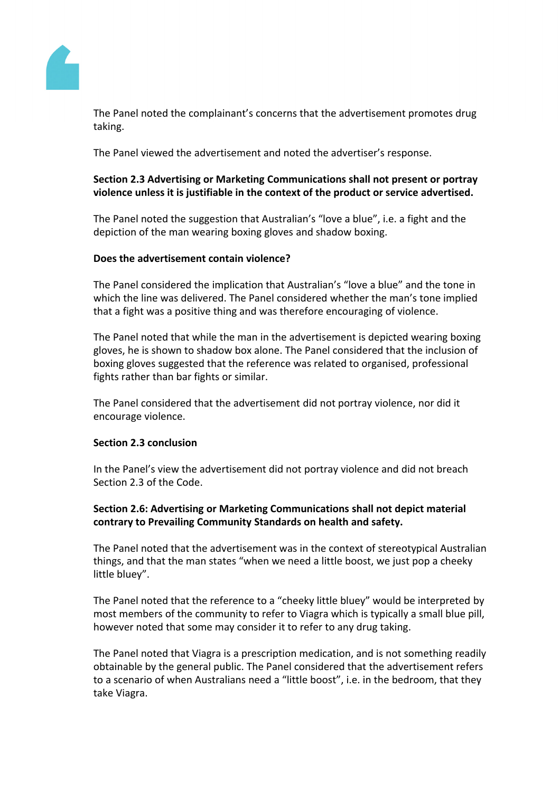

The Panel noted the complainant's concerns that the advertisement promotes drug taking.

The Panel viewed the advertisement and noted the advertiser's response.

# **Section 2.3 Advertising or Marketing Communications shall not present or portray violence unless it is justifiable in the context of the product or service advertised.**

The Panel noted the suggestion that Australian's "love a blue", i.e. a fight and the depiction of the man wearing boxing gloves and shadow boxing.

# **Does the advertisement contain violence?**

The Panel considered the implication that Australian's "love a blue" and the tone in which the line was delivered. The Panel considered whether the man's tone implied that a fight was a positive thing and was therefore encouraging of violence.

The Panel noted that while the man in the advertisement is depicted wearing boxing gloves, he is shown to shadow box alone. The Panel considered that the inclusion of boxing gloves suggested that the reference was related to organised, professional fights rather than bar fights or similar.

The Panel considered that the advertisement did not portray violence, nor did it encourage violence.

# **Section 2.3 conclusion**

In the Panel's view the advertisement did not portray violence and did not breach Section 2.3 of the Code.

# **Section 2.6: Advertising or Marketing Communications shall not depict material contrary to Prevailing Community Standards on health and safety.**

The Panel noted that the advertisement was in the context of stereotypical Australian things, and that the man states "when we need a little boost, we just pop a cheeky little bluey".

The Panel noted that the reference to a "cheeky little bluey" would be interpreted by most members of the community to refer to Viagra which is typically a small blue pill, however noted that some may consider it to refer to any drug taking.

The Panel noted that Viagra is a prescription medication, and is not something readily obtainable by the general public. The Panel considered that the advertisement refers to a scenario of when Australians need a "little boost", i.e. in the bedroom, that they take Viagra.